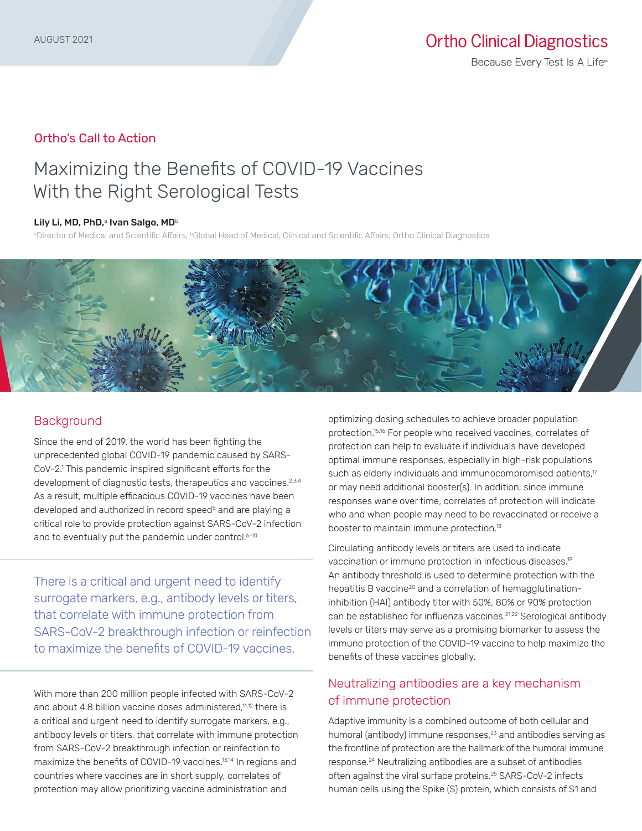### Ortho's Call to Action

# Maximizing the Benefits of COVID-19 Vaccines With the Right Serological Tests

#### Lily Li, MD, PhD,<sup>a</sup> Ivan Salgo, MD<sup>b</sup>

®Director of Medical and Scientific Affairs, ®Global Head of Medical, Clinical and Scientific Affairs, Ortho Clinical Diagnostics



### **Background**

Since the end of 2019, the world has been fighting the unprecedented global COVID-19 pandemic caused by SARS-CoV-2.1 This pandemic inspired significant efforts for the development of diagnostic tests, therapeutics and vaccines.<sup>2,3,4</sup> As a result, multiple efficacious COVID-19 vaccines have been developed and authorized in record speed<sup>5</sup> and are playing a critical role to provide protection against SARS-CoV-2 infection and to eventually put the pandemic under control.<sup>6-10</sup>

There is a critical and urgent need to identify surrogate markers, e.g., antibody levels or titers, that correlate with immune protection from SARS-CoV-2 breakthrough infection or reinfection to maximize the benefits of COVID-19 vaccines.

With more than 200 million people infected with SARS-CoV-2 and about 4.8 billion vaccine doses administered,<sup>11,12</sup> there is a critical and urgent need to identify surrogate markers, e.g., antibody levels or titers, that correlate with immune protection from SARS-CoV-2 breakthrough infection or reinfection to maximize the benefits of COVID-19 vaccines.13,14 In regions and countries where vaccines are in short supply, correlates of protection may allow prioritizing vaccine administration and

optimizing dosing schedules to achieve broader population protection.15,16 For people who received vaccines, correlates of protection can help to evaluate if individuals have developed optimal immune responses, especially in high-risk populations such as elderly individuals and immunocompromised patients,<sup>17</sup> or may need additional booster(s). In addition, since immune responses wane over time, correlates of protection will indicate who and when people may need to be revaccinated or receive a booster to maintain immune protection.18

Circulating antibody levels or titers are used to indicate vaccination or immune protection in infectious diseases.19 An antibody threshold is used to determine protection with the hepatitis B vaccine<sup>20</sup> and a correlation of hemagglutinationinhibition (HAI) antibody titer with 50%, 80% or 90% protection can be established for influenza vaccines.<sup>21,22</sup> Serological antibody levels or titers may serve as a promising biomarker to assess the immune protection of the COVID-19 vaccine to help maximize the benefits of these vaccines globally.

# Neutralizing antibodies are a key mechanism of immune protection

Adaptive immunity is a combined outcome of both cellular and humoral (antibody) immune responses,<sup>23</sup> and antibodies serving as the frontline of protection are the hallmark of the humoral immune response.24 Neutralizing antibodies are a subset of antibodies often against the viral surface proteins.25 SARS-CoV-2 infects human cells using the Spike (S) protein, which consists of S1 and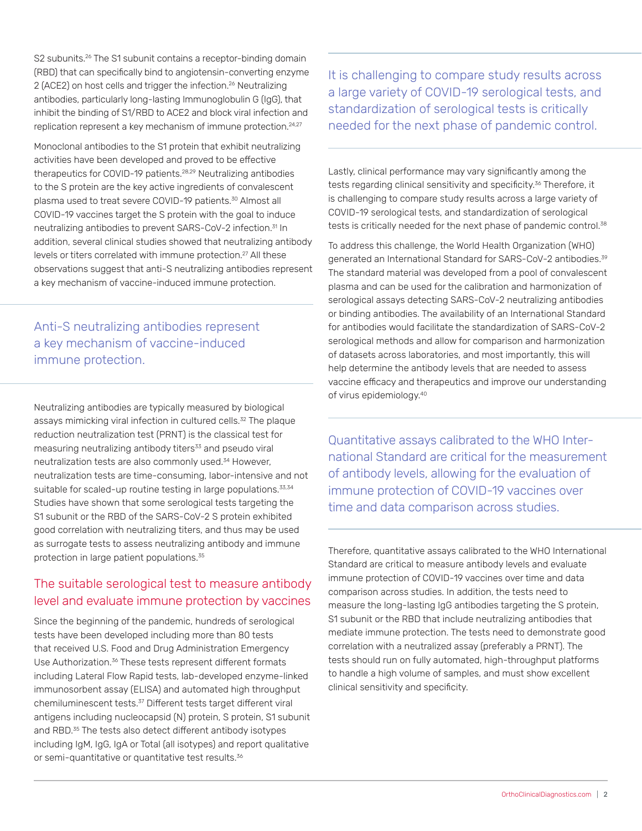S2 subunits.<sup>26</sup> The S1 subunit contains a receptor-binding domain (RBD) that can specifically bind to angiotensin-converting enzyme 2 (ACE2) on host cells and trigger the infection.<sup>26</sup> Neutralizing antibodies, particularly long-lasting Immunoglobulin G (IgG), that inhibit the binding of S1/RBD to ACE2 and block viral infection and replication represent a key mechanism of immune protection.<sup>24,27</sup>

Monoclonal antibodies to the S1 protein that exhibit neutralizing activities have been developed and proved to be effective therapeutics for COVID-19 patients.28,29 Neutralizing antibodies to the S protein are the key active ingredients of convalescent plasma used to treat severe COVID-19 patients.<sup>30</sup> Almost all COVID-19 vaccines target the S protein with the goal to induce neutralizing antibodies to prevent SARS-CoV-2 infection.31 In addition, several clinical studies showed that neutralizing antibody levels or titers correlated with immune protection.<sup>27</sup> All these observations suggest that anti-S neutralizing antibodies represent a key mechanism of vaccine-induced immune protection.

Anti-S neutralizing antibodies represent a key mechanism of vaccine-induced immune protection.

Neutralizing antibodies are typically measured by biological assays mimicking viral infection in cultured cells.<sup>32</sup> The plaque reduction neutralization test (PRNT) is the classical test for measuring neutralizing antibody titers<sup>33</sup> and pseudo viral neutralization tests are also commonly used.<sup>34</sup> However, neutralization tests are time-consuming, labor-intensive and not suitable for scaled-up routine testing in large populations.<sup>33,34</sup> Studies have shown that some serological tests targeting the S1 subunit or the RBD of the SARS-CoV-2 S protein exhibited good correlation with neutralizing titers, and thus may be used as surrogate tests to assess neutralizing antibody and immune protection in large patient populations.<sup>35</sup>

# The suitable serological test to measure antibody level and evaluate immune protection by vaccines

Since the beginning of the pandemic, hundreds of serological tests have been developed including more than 80 tests that received U.S. Food and Drug Administration Emergency Use Authorization.<sup>36</sup> These tests represent different formats including Lateral Flow Rapid tests, lab-developed enzyme-linked immunosorbent assay (ELISA) and automated high throughput chemiluminescent tests.37 Different tests target different viral antigens including nucleocapsid (N) protein, S protein, S1 subunit and RBD.<sup>35</sup> The tests also detect different antibody isotypes including IgM, IgG, IgA or Total (all isotypes) and report qualitative or semi-quantitative or quantitative test results.<sup>36</sup>

It is challenging to compare study results across a large variety of COVID-19 serological tests, and standardization of serological tests is critically needed for the next phase of pandemic control.

Lastly, clinical performance may vary significantly among the tests regarding clinical sensitivity and specificity.<sup>36</sup> Therefore, it is challenging to compare study results across a large variety of COVID-19 serological tests, and standardization of serological tests is critically needed for the next phase of pandemic control.<sup>38</sup>

To address this challenge, the World Health Organization (WHO) generated an International Standard for SARS-CoV-2 antibodies.<sup>39</sup> The standard material was developed from a pool of convalescent plasma and can be used for the calibration and harmonization of serological assays detecting SARS-CoV-2 neutralizing antibodies or binding antibodies. The availability of an International Standard for antibodies would facilitate the standardization of SARS-CoV-2 serological methods and allow for comparison and harmonization of datasets across laboratories, and most importantly, this will help determine the antibody levels that are needed to assess vaccine efficacy and therapeutics and improve our understanding of virus epidemiology.40

Quantitative assays calibrated to the WHO International Standard are critical for the measurement of antibody levels, allowing for the evaluation of immune protection of COVID-19 vaccines over time and data comparison across studies.

Therefore, quantitative assays calibrated to the WHO International Standard are critical to measure antibody levels and evaluate immune protection of COVID-19 vaccines over time and data comparison across studies. In addition, the tests need to measure the long-lasting IgG antibodies targeting the S protein, S1 subunit or the RBD that include neutralizing antibodies that mediate immune protection. The tests need to demonstrate good correlation with a neutralized assay (preferably a PRNT). The tests should run on fully automated, high-throughput platforms to handle a high volume of samples, and must show excellent clinical sensitivity and specificity.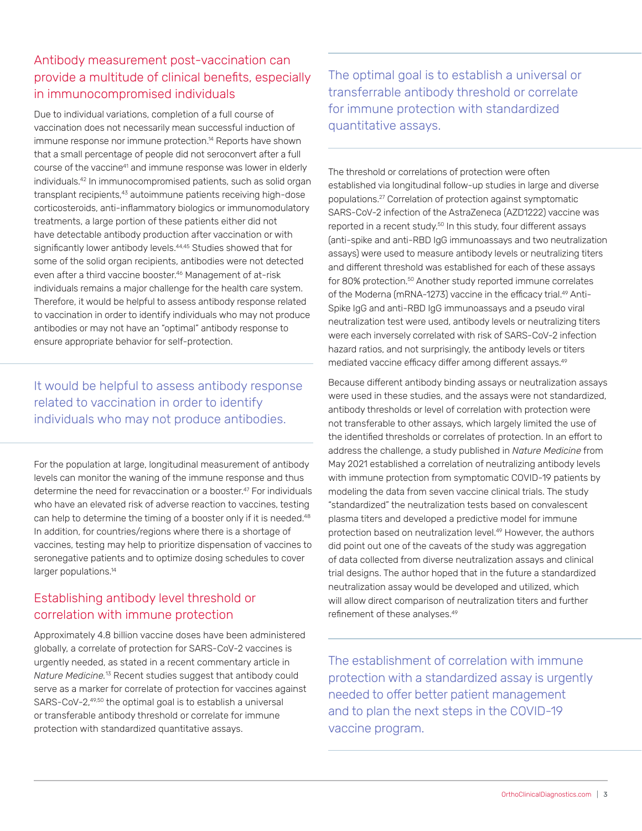# Antibody measurement post-vaccination can provide a multitude of clinical benefits, especially in immunocompromised individuals

Due to individual variations, completion of a full course of vaccination does not necessarily mean successful induction of immune response nor immune protection.<sup>14</sup> Reports have shown that a small percentage of people did not seroconvert after a full course of the vaccine<sup>41</sup> and immune response was lower in elderly individuals.42 In immunocompromised patients, such as solid organ transplant recipients,<sup>43</sup> autoimmune patients receiving high-dose corticosteroids, anti-inflammatory biologics or immunomodulatory treatments, a large portion of these patients either did not have detectable antibody production after vaccination or with significantly lower antibody levels.<sup>44,45</sup> Studies showed that for some of the solid organ recipients, antibodies were not detected even after a third vaccine booster.<sup>46</sup> Management of at-risk individuals remains a major challenge for the health care system. Therefore, it would be helpful to assess antibody response related to vaccination in order to identify individuals who may not produce antibodies or may not have an "optimal" antibody response to ensure appropriate behavior for self-protection.

It would be helpful to assess antibody response related to vaccination in order to identify individuals who may not produce antibodies.

For the population at large, longitudinal measurement of antibody levels can monitor the waning of the immune response and thus determine the need for revaccination or a booster.<sup>47</sup> For individuals who have an elevated risk of adverse reaction to vaccines, testing can help to determine the timing of a booster only if it is needed.<sup>48</sup> In addition, for countries/regions where there is a shortage of vaccines, testing may help to prioritize dispensation of vaccines to seronegative patients and to optimize dosing schedules to cover larger populations.<sup>14</sup>

### Establishing antibody level threshold or correlation with immune protection

Approximately 4.8 billion vaccine doses have been administered globally, a correlate of protection for SARS-CoV-2 vaccines is urgently needed, as stated in a recent commentary article in *Nature Medicine.*13 Recent studies suggest that antibody could serve as a marker for correlate of protection for vaccines against SARS-CoV-2,<sup>49,50</sup> the optimal goal is to establish a universal or transferable antibody threshold or correlate for immune protection with standardized quantitative assays.

The optimal goal is to establish a universal or transferrable antibody threshold or correlate for immune protection with standardized quantitative assays.

The threshold or correlations of protection were often established via longitudinal follow-up studies in large and diverse populations.27 Correlation of protection against symptomatic SARS-CoV-2 infection of the AstraZeneca (AZD1222) vaccine was reported in a recent study.<sup>50</sup> In this study, four different assays (anti-spike and anti-RBD IgG immunoassays and two neutralization assays) were used to measure antibody levels or neutralizing titers and different threshold was established for each of these assays for 80% protection.50 Another study reported immune correlates of the Moderna (mRNA-1273) vaccine in the efficacy trial.<sup>49</sup> Anti-Spike IgG and anti-RBD IgG immunoassays and a pseudo viral neutralization test were used, antibody levels or neutralizing titers were each inversely correlated with risk of SARS-CoV-2 infection hazard ratios, and not surprisingly, the antibody levels or titers mediated vaccine efficacy differ among different assays.<sup>49</sup>

Because different antibody binding assays or neutralization assays were used in these studies, and the assays were not standardized, antibody thresholds or level of correlation with protection were not transferable to other assays, which largely limited the use of the identified thresholds or correlates of protection. In an effort to address the challenge, a study published in *Nature Medicine* from May 2021 established a correlation of neutralizing antibody levels with immune protection from symptomatic COVID-19 patients by modeling the data from seven vaccine clinical trials. The study "standardized" the neutralization tests based on convalescent plasma titers and developed a predictive model for immune protection based on neutralization level.<sup>49</sup> However, the authors did point out one of the caveats of the study was aggregation of data collected from diverse neutralization assays and clinical trial designs. The author hoped that in the future a standardized neutralization assay would be developed and utilized, which will allow direct comparison of neutralization titers and further refinement of these analyses.49

The establishment of correlation with immune protection with a standardized assay is urgently needed to offer better patient management and to plan the next steps in the COVID-19 vaccine program.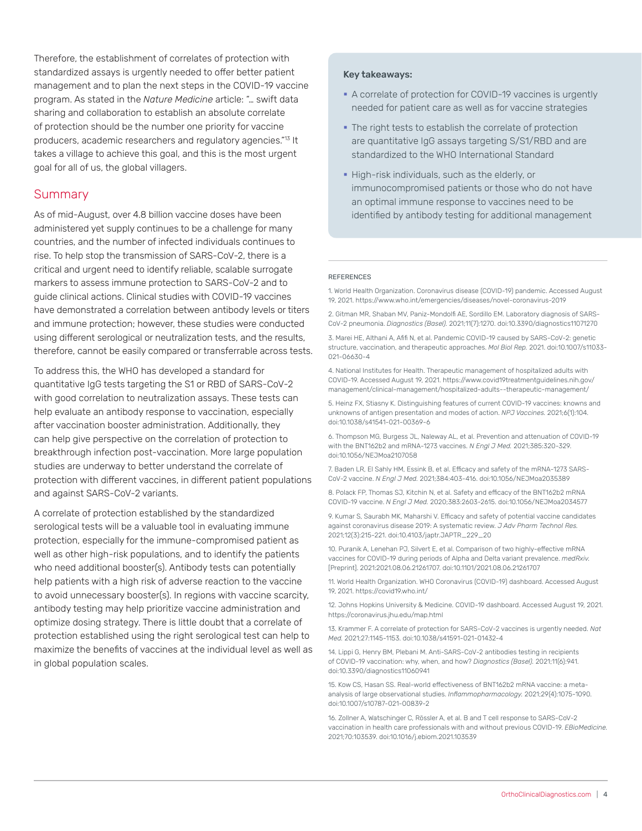Therefore, the establishment of correlates of protection with standardized assays is urgently needed to offer better patient management and to plan the next steps in the COVID-19 vaccine program. As stated in the *Nature Medicine* article: "… swift data sharing and collaboration to establish an absolute correlate of protection should be the number one priority for vaccine producers, academic researchers and regulatory agencies."13 It takes a village to achieve this goal, and this is the most urgent goal for all of us, the global villagers.

#### **Summary**

As of mid-August, over 4.8 billion vaccine doses have been administered yet supply continues to be a challenge for many countries, and the number of infected individuals continues to rise. To help stop the transmission of SARS-CoV-2, there is a critical and urgent need to identify reliable, scalable surrogate markers to assess immune protection to SARS-CoV-2 and to guide clinical actions. Clinical studies with COVID-19 vaccines have demonstrated a correlation between antibody levels or titers and immune protection; however, these studies were conducted using different serological or neutralization tests, and the results, therefore, cannot be easily compared or transferrable across tests.

To address this, the WHO has developed a standard for quantitative IgG tests targeting the S1 or RBD of SARS-CoV-2 with good correlation to neutralization assays. These tests can help evaluate an antibody response to vaccination, especially after vaccination booster administration. Additionally, they can help give perspective on the correlation of protection to breakthrough infection post-vaccination. More large population studies are underway to better understand the correlate of protection with different vaccines, in different patient populations and against SARS-CoV-2 variants.

A correlate of protection established by the standardized serological tests will be a valuable tool in evaluating immune protection, especially for the immune-compromised patient as well as other high-risk populations, and to identify the patients who need additional booster(s). Antibody tests can potentially help patients with a high risk of adverse reaction to the vaccine to avoid unnecessary booster(s). In regions with vaccine scarcity, antibody testing may help prioritize vaccine administration and optimize dosing strategy. There is little doubt that a correlate of protection established using the right serological test can help to maximize the benefits of vaccines at the individual level as well as in global population scales.

#### Key takeaways:

- A correlate of protection for COVID-19 vaccines is urgently needed for patient care as well as for vaccine strategies
- The right tests to establish the correlate of protection are quantitative IgG assays targeting S/S1/RBD and are standardized to the WHO International Standard
- High-risk individuals, such as the elderly, or immunocompromised patients or those who do not have an optimal immune response to vaccines need to be identified by antibody testing for additional management

#### REFERENCES

1. World Health Organization. Coronavirus disease (COVID-19) pandemic. Accessed August 19, 2021. https://www.who.int/emergencies/diseases/novel-coronavirus-2019

2. Gitman MR, Shaban MV, Paniz-Mondolfi AE, Sordillo EM. Laboratory diagnosis of SARS-CoV-2 pneumonia. *Diagnostics (Basel).* 2021;11(7):1270. doi:10.3390/diagnostics11071270

3. Marei HE, Althani A, Afifi N, et al. Pandemic COVID-19 caused by SARS-CoV-2: genetic structure, vaccination, and therapeutic approaches. *Mol Biol Rep.* 2021. doi:10.1007/s11033- 021-06630-4

4. National Institutes for Health. Therapeutic management of hospitalized adults with COVID-19. Accessed August 19, 2021. https://www.covid19treatmentguidelines.nih.gov/ management/clinical-management/hospitalized-adults--therapeutic-management/

5. Heinz FX, Stiasny K. Distinguishing features of current COVID-19 vaccines: knowns and unknowns of antigen presentation and modes of action. *NPJ Vaccines.* 2021;6(1):104. doi:10.1038/s41541-021-00369-6

6. Thompson MG, Burgess JL, Naleway AL, et al. Prevention and attenuation of COVID-19 with the BNT162b2 and mRNA-1273 vaccines. *N Engl J Med.* 2021;385:320-329. doi:10.1056/NEJMoa2107058

7. Baden LR, El Sahly HM, Essink B, et al. Efficacy and safety of the mRNA-1273 SARS-CoV-2 vaccine. *N Engl J Med.* 2021;384:403-416. doi:10.1056/NEJMoa2035389

8. Polack FP, Thomas SJ, Kitchin N, et al. Safety and efficacy of the BNT162b2 mRNA COVID-19 vaccine. *N Engl J Med.* 2020;383:2603-2615. doi:10.1056/NEJMoa2034577

9. Kumar S, Saurabh MK, Maharshi V. Efficacy and safety of potential vaccine candidates against coronavirus disease 2019: A systematic review. *J Adv Pharm Technol Res.*  2021;12(3):215-221. doi:10.4103/japtr.JAPTR\_229\_20

10. Puranik A, Lenehan PJ, Silvert E, et al. Comparison of two highly-effective mRNA vaccines for COVID-19 during periods of Alpha and Delta variant prevalence. *medRxiv.*  [Preprint]. 2021:2021.08.06.21261707. doi:10.1101/2021.08.06.21261707

11. World Health Organization. WHO Coronavirus (COVID-19) dashboard. Accessed August 19, 2021. https://covid19.who.int/

12. Johns Hopkins University & Medicine. COVID-19 dashboard. Accessed August 19, 2021. https://coronavirus.jhu.edu/map.html

13. Krammer F. A correlate of protection for SARS-CoV-2 vaccines is urgently needed. *Nat Med.* 2021;27:1145-1153. doi:10.1038/s41591-021-01432-4

14. Lippi G, Henry BM, Plebani M. Anti-SARS-CoV-2 antibodies testing in recipients of COVID-19 vaccination: why, when, and how? *Diagnostics (Basel).* 2021;11(6):941. doi:10.3390/diagnostics11060941

15. Kow CS, Hasan SS. Real-world effectiveness of BNT162b2 mRNA vaccine: a metaanalysis of large observational studies. *Inflammopharmacology.* 2021;29(4):1075-1090. doi:10.1007/s10787-021-00839-2

16. Zollner A, Watschinger C, Rössler A, et al. B and T cell response to SARS-CoV-2 vaccination in health care professionals with and without previous COVID-19. *EBioMedicine.* 2021;70:103539. doi:10.1016/j.ebiom.2021.103539